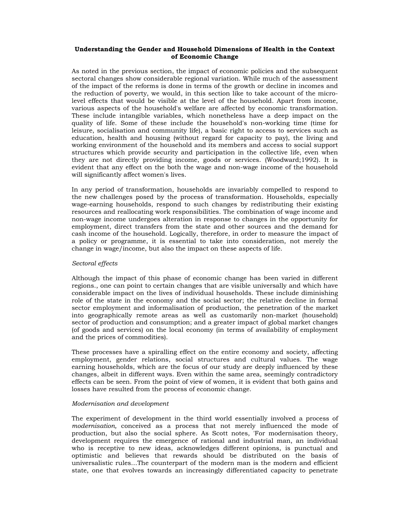## **Understanding the Gender and Household Dimensions of Health in the Context of Economic Change**

As noted in the previous section, the impact of economic policies and the subsequent sectoral changes show considerable regional variation. While much of the assessment of the impact of the reforms is done in terms of the growth or decline in incomes and the reduction of poverty, we would, in this section like to take account of the microlevel effects that would be visible at the level of the household. Apart from income, various aspects of the household's welfare are affected by economic transformation. These include intangible variables, which nonetheless have a deep impact on the quality of life. Some of these include the household's non-working time (time for leisure, socialisation and community life), a basic right to access to services such as education, health and housing (without regard for capacity to pay), the living and working environment of the household and its members and access to social support structures which provide security and participation in the collective life, even when they are not directly providing income, goods or services. (Woodward;1992). It is evident that any effect on the both the wage and non-wage income of the household will significantly affect women's lives.

In any period of transformation, households are invariably compelled to respond to the new challenges posed by the process of transformation. Households, especially wage-earning households, respond to such changes by redistributing their existing resources and reallocating work responsibilities. The combination of wage income and non-wage income undergoes alteration in response to changes in the opportunity for employment, direct transfers from the state and other sources and the demand for cash income of the household. Logically, therefore, in order to measure the impact of a policy or programme, it is essential to take into consideration, not merely the change in wage/income, but also the impact on these aspects of life.

# *Sectoral effects*

Although the impact of this phase of economic change has been varied in different regions., one can point to certain changes that are visible universally and which have considerable impact on the lives of individual households. These include diminishing role of the state in the economy and the social sector; the relative decline in formal sector employment and informalisation of production, the penetration of the market into geographically remote areas as well as customarily non-market (household) sector of production and consumption; and a greater impact of global market changes (of goods and services) on the local economy (in terms of availability of employment and the prices of commodities).

These processes have a spiralling effect on the entire economy and society, affecting employment, gender relations, social structures and cultural values. The wage earning households, which are the focus of our study are deeply influenced by these changes, albeit in different ways. Even within the same area, seemingly contradictory effects can be seen. From the point of view of women, it is evident that both gains and losses have resulted from the process of economic change.

# *Modernisation and development*

The experiment of development in the third world essentially involved a process of *modernisation,* conceived as a process that not merely influenced the mode of production, but also the social sphere. As Scott notes, 'For modernisation theory, development requires the emergence of rational and industrial man, an individual who is receptive to new ideas, acknowledges different opinions, is punctual and optimistic and believes that rewards should be distributed on the basis of universalistic rules…The counterpart of the modern man is the modern and efficient state, one that evolves towards an increasingly differentiated capacity to penetrate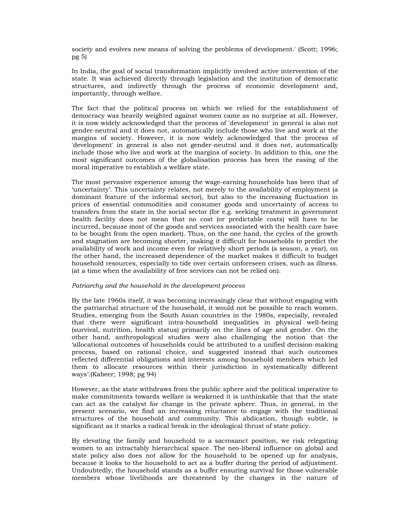society and evolves new means of solving the problems of development.' (Scott; 1996; pg 5)

In India, the goal of social transformation implicitly involved active intervention of the state. It was achieved directly through legislation and the institution of democratic structures, and indirectly through the process of economic development and, importantly, through welfare.

The fact that the political process on which we relied for the establishment of democracy was heavily weighted against women came as no surprise at all. However, it is now widely acknowledged that the process of 'development' in general is also not gender-neutral and it does not, automatically include those who live and work at the margins of society. However, it is now widely acknowledged that the process of 'development' in general is also not gender-neutral and it does not, automatically include those who live and work at the margins of society. In addition to this, one the most significant outcomes of the globalisation process has been the easing of the moral imperative to establish a welfare state.

The most pervasive experience among the wage-earning households has been that of 'uncertainty'. This uncertainty relates, not merely to the availability of employment (a dominant feature of the informal sector), but also to the increasing fluctuation in prices of essential commodities and consumer goods and uncertainty of access to transfers from the state in the social sector (for e.g. seeking treatment in government health facility does not mean that no cost (or predictable costs) will have to be incurred, because most of the goods and services associated with the health care have to be bought from the open market). Thus, on the one hand, the cycles of the growth and stagnation are becoming shorter, making it difficult for households to predict the availability of work and income even for relatively short periods (a season, a year), on the other hand, the increased dependence of the market makes it difficult to budget household resources, especially to tide over certain unforeseen crises, such as illness. (at a time when the availability of free services can not be relied on).

# *Patriarchy and the household in the development process*

By the late 1960s itself, it was becoming increasingly clear that without engaging with the patriarchal structure of the household, it would not be possible to reach women. Studies, emerging from the South Asian countries in the 1980s, especially, revealed that there were significant intra-household inequalities in physical well-being (survival, nutrition, health status) primarily on the lines of age and gender. On the other hand, anthropological studies were also challenging the notion that the 'allocational outcomes of households could be attributed to a unified decision-making process, based on rational choice, and suggested instead that such outcomes reflected differential obligations and interests among household members which led them to allocate resources within their jurisdiction in systematically different ways'.(Kabeer; 1998; pg 94)

However, as the state withdraws from the public sphere and the political imperative to make commitments towards welfare is weakened it is unthinkable that that the state can act as the catalyst for change in the private sphere. Thus, in general, in the present scenario, we find an increasing reluctance to engage with the traditional structures of the household and community. This abdication, though subtle, is significant as it marks a radical break in the ideological thrust of state policy.

By elevating the family and household to a sacrosanct position, we risk relegating women to an intractably hierarchical space. The neo-liberal influence on global and state policy also does not allow for the household to be opened up for analysis, because it looks to the household to act as a buffer during the period of adjustment. Undoubtedly, the household stands as a buffer ensuring survival for those vulnerable members whose livelihoods are threatened by the changes in the nature of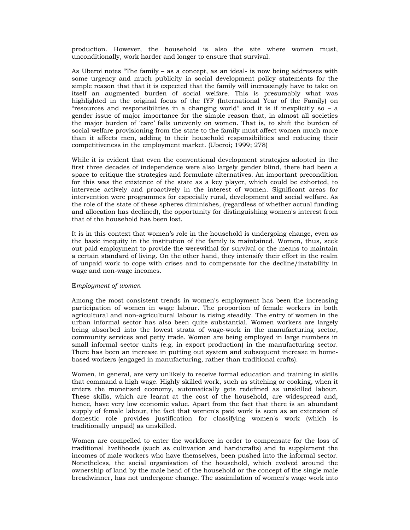production. However, the household is also the site where women must, unconditionally, work harder and longer to ensure that survival.

As Uberoi notes "The family – as a concept, as an ideal- is now being addresses with some urgency and much publicity in social development policy statements for the simple reason that that it is expected that the family will increasingly have to take on itself an augmented burden of social welfare. This is presumably what was highlighted in the original focus of the IYF (International Year of the Family) on "resources and responsibilities in a changing world" and it is if inexplicitly so – a gender issue of major importance for the simple reason that, in almost all societies the major burden of 'care' falls unevenly on women. That is, to shift the burden of social welfare provisioning from the state to the family must affect women much more than it affects men, adding to their household responsibilities and reducing their competitiveness in the employment market. (Uberoi; 1999; 278)

While it is evident that even the conventional development strategies adopted in the first three decades of independence were also largely gender blind, there had been a space to critique the strategies and formulate alternatives. An important precondition for this was the existence of the state as a key player, which could be exhorted, to intervene actively and proactively in the interest of women. Significant areas for intervention were programmes for especially rural, development and social welfare. As the role of the state of these spheres diminishes, (regardless of whether actual funding and allocation has declined), the opportunity for distinguishing women's interest from that of the household has been lost.

It is in this context that women's role in the household is undergoing change, even as the basic inequity in the institution of the family is maintained. Women, thus, seek out paid employment to provide the werewithal for survival or the means to maintain a certain standard of living. On the other hand, they intensify their effort in the realm of unpaid work to cope with crises and to compensate for the decline/instability in wage and non-wage incomes.

# E*mployment of women*

Among the most consistent trends in women's employment has been the increasing participation of women in wage labour. The proportion of female workers in both agricultural and non-agricultural labour is rising steadily. The entry of women in the urban informal sector has also been quite substantial. Women workers are largely being absorbed into the lowest strata of wage-work in the manufacturing sector, community services and petty trade. Women are being employed in large numbers in small informal sector units (e.g. in export production) in the manufacturing sector. There has been an increase in putting out system and subsequent increase in homebased workers (engaged in manufacturing, rather than traditional crafts).

Women, in general, are very unlikely to receive formal education and training in skills that command a high wage. Highly skilled work, such as stitching or cooking, when it enters the monetised economy, automatically gets redefined as unskilled labour. These skills, which are learnt at the cost of the household, are widespread and, hence, have very low economic value. Apart from the fact that there is an abundant supply of female labour, the fact that women's paid work is seen as an extension of domestic role provides justification for classifying women's work (which is traditionally unpaid) as unskilled.

Women are compelled to enter the workforce in order to compensate for the loss of traditional livelihoods (such as cultivation and handicrafts) and to supplement the incomes of male workers who have themselves, been pushed into the informal sector. Nonetheless, the social organisation of the household, which evolved around the ownership of land by the male head of the household or the concept of the single male breadwinner, has not undergone change. The assimilation of women's wage work into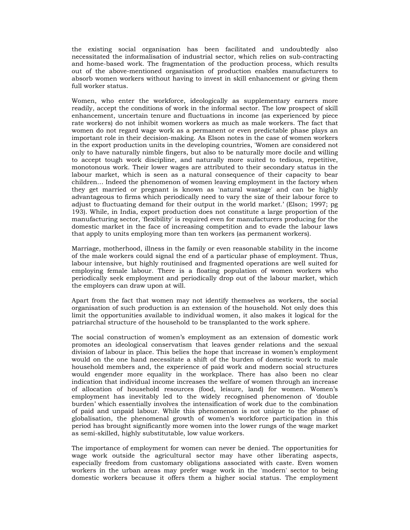the existing social organisation has been facilitated and undoubtedly also necessitated the informalisation of industrial sector, which relies on sub-contracting and home-based work. The fragmentation of the production process, which results out of the above-mentioned organisation of production enables manufacturers to absorb women workers without having to invest in skill enhancement or giving them full worker status.

Women, who enter the workforce, ideologically as supplementary earners more readily, accept the conditions of work in the informal sector. The low prospect of skill enhancement, uncertain tenure and fluctuations in income (as experienced by piece rate workers) do not inhibit women workers as much as male workers. The fact that women do not regard wage work as a permanent or even predictable phase plays an important role in their decision-making. As Elson notes in the case of women workers in the export production units in the developing countries, 'Women are considered not only to have naturally nimble fingers, but also to be naturally more docile and willing to accept tough work discipline, and naturally more suited to tedious, repetitive, monotonous work. Their lower wages are attributed to their secondary status in the labour market, which is seen as a natural consequence of their capacity to bear children… Indeed the phenomenon of women leaving employment in the factory when they get married or pregnant is known as 'natural wastage' and can be highly advantageous to firms which periodically need to vary the size of their labour force to adjust to fluctuating demand for their output in the world market.' (Elson; 1997; pg 193). While, in India, export production does not constitute a large proportion of the manufacturing sector, 'flexibility' is required even for manufacturers producing for the domestic market in the face of increasing competition and to evade the labour laws that apply to units employing more than ten workers (as permanent workers).

Marriage, motherhood, illness in the family or even reasonable stability in the income of the male workers could signal the end of a particular phase of employment. Thus, labour intensive, but highly routinised and fragmented operations are well suited for employing female labour. There is a floating population of women workers who periodically seek employment and periodically drop out of the labour market, which the employers can draw upon at will.

Apart from the fact that women may not identify themselves as workers, the social organisation of such production is an extension of the household. Not only does this limit the opportunities available to individual women, it also makes it logical for the patriarchal structure of the household to be transplanted to the work sphere.

The social construction of women's employment as an extension of domestic work promotes an ideological conservatism that leaves gender relations and the sexual division of labour in place. This belies the hope that increase in women's employment would on the one hand necessitate a shift of the burden of domestic work to male household members and, the experience of paid work and modern social structures would engender more equality in the workplace. There has also been no clear indication that individual income increases the welfare of women through an increase of allocation of household resources (food, leisure, land) for women. Women's employment has inevitably led to the widely recognised phenomenon of 'double burden' which essentially involves the intensification of work due to the combination of paid and unpaid labour. While this phenomenon is not unique to the phase of globalisation, the phenomenal growth of women's workforce participation in this period has brought significantly more women into the lower rungs of the wage market as semi-skilled, highly substitutable, low value workers.

The importance of employment for women can never be denied. The opportunities for wage work outside the agricultural sector may have other liberating aspects, especially freedom from customary obligations associated with caste. Even women workers in the urban areas may prefer wage work in the 'modern' sector to being domestic workers because it offers them a higher social status. The employment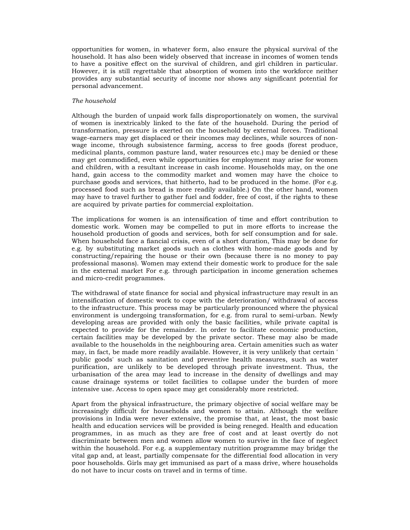opportunities for women, in whatever form, also ensure the physical survival of the household. It has also been widely observed that increase in incomes of women tends to have a positive effect on the survival of children, and girl children in particular. However, it is still regrettable that absorption of women into the workforce neither provides any substantial security of income nor shows any significant potential for personal advancement.

# *The household*

Although the burden of unpaid work falls disproportionately on women, the survival of women is inextricably linked to the fate of the household. During the period of transformation, pressure is exerted on the household by external forces. Traditional wage-earners may get displaced or their incomes may declines, while sources of nonwage income, through subsistence farming, access to free goods (forest produce, medicinal plants, common pasture land, water resources etc.) may be denied or these may get commodified, even while opportunities for employment may arise for women and children, with a resultant increase in cash income. Households may, on the one hand, gain access to the commodity market and women may have the choice to purchase goods and services, that hitherto, had to be produced in the home. (For e.g. processed food such as bread is more readily available.) On the other hand, women may have to travel further to gather fuel and fodder, free of cost, if the rights to these are acquired by private parties for commercial exploitation.

The implications for women is an intensification of time and effort contribution to domestic work. Women may be compelled to put in more efforts to increase the household production of goods and services, both for self consumption and for sale. When household face a fiancial crisis, even of a short duration, This may be done for e.g. by substituting market goods such as clothes with home-made goods and by constructing/repairing the house or their own (because there is no money to pay professional masons). Women may extend their domestic work to produce for the sale in the external market For e.g. through participation in income generation schemes and micro-credit programmes.

The withdrawal of state finance for social and physical infrastructure may result in an intensification of domestic work to cope with the deterioration/ withdrawal of access to the infrastructure. This process may be particularly pronounced where the physical environment is undergoing transformation, for e.g. from rural to semi-urban. Newly developing areas are provided with only the basic facilities, while private capital is expected to provide for the remainder. In order to facilitate economic production, certain facilities may be developed by the private sector. These may also be made available to the households in the neighbouring area. Certain amenities such as water may, in fact, be made more readily available. However, it is very unlikely that certain ' public goods' such as sanitation and preventive health measures, such as water purification, are unlikely to be developed through private investment. Thus, the urbanisation of the area may lead to increase in the density of dwellings and may cause drainage systems or toilet facilities to collapse under the burden of more intensive use. Access to open space may get considerably more restricted.

Apart from the physical infrastructure, the primary objective of social welfare may be increasingly difficult for households and women to attain. Although the welfare provisions in India were never extensive, the promise that, at least, the most basic health and education services will be provided is being reneged. Health and education programmes, in as much as they are free of cost and at least overtly do not discriminate between men and women allow women to survive in the face of neglect within the household. For e.g. a supplementary nutrition programme may bridge the vital gap and, at least, partially compensate for the differential food allocation in very poor households. Girls may get immunised as part of a mass drive, where households do not have to incur costs on travel and in terms of time.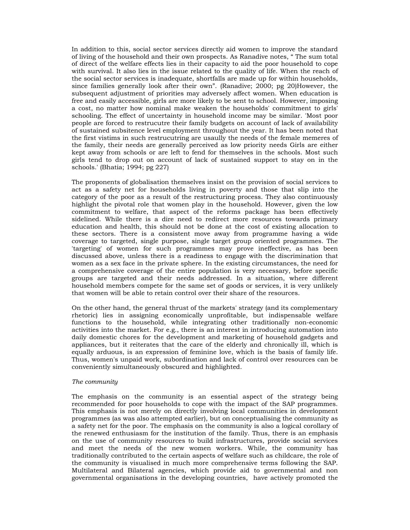In addition to this, social sector services directly aid women to improve the standard of living of the household and their own prospects. As Ranadive notes, " The sum total of direct of the welfare effects lies in their capacity to aid the poor household to cope with survival. It also lies in the issue related to the quality of life. When the reach of the social sector services is inadequate, shortfalls are made up for within households, since families generally look after their own". (Ranadive; 2000; pg 20)However, the subsequent adjustment of priorities may adversely affect women. When education is free and easily accessible, girls are more likely to be sent to school. However, imposing a cost, no matter how nominal make weaken the households' commitment to girls' schooling. The effect of uncertainty in household income may be similar. 'Most poor people are forced to restrucutre their family budgets on account of lack of availability of sustained subsitence level employment throughout the year. It has been noted that the first vistims in such restrucutring are usaully the needs of the female memeres of the family, their needs are generally perceived as low priority needs Girls are either kept away from schools or are left to fend for themselves in the schools. Most such girls tend to drop out on account of lack of sustained support to stay on in the schools.' (Bhatia; 1994; pg 227)

The proponents of globalisation themselves insist on the provision of social services to act as a safety net for households living in poverty and those that slip into the category of the poor as a result of the restructuring process. They also continuously highlight the pivotal role that women play in the household. However, given the low commitment to welfare, that aspect of the reforms package has been effectively sidelined. While there is a dire need to redirect more resources towards primary education and health, this should not be done at the cost of existing allocation to these sectors. There is a consistent move away from programme having a wide coverage to targeted, single purpose, single target group oriented programmes. The 'targeting' of women for such programmes may prove ineffective, as has been discussed above, unless there is a readiness to engage with the discrimination that women as a sex face in the private sphere. In the existing circumstances, the need for a comprehensive coverage of the entire population is very necessary, before specific groups are targeted and their needs addressed. In a situation, where different household members compete for the same set of goods or services, it is very unlikely that women will be able to retain control over their share of the resources.

On the other hand, the general thrust of the markets' strategy (and its complementary rhetoric) lies in assigning economically unprofitable, but indispensable welfare functions to the household, while integrating other traditionally non-economic activities into the market. For e.g., there is an interest in introducing automation into daily domestic chores for the development and marketing of household gadgets and appliances, but it reiterates that the care of the elderly and chronically ill, which is equally arduous, is an expression of feminine love, which is the basis of family life. Thus, women's unpaid work, subordination and lack of control over resources can be conveniently simultaneously obscured and highlighted.

# *The community*

The emphasis on the community is an essential aspect of the strategy being recommended for poor households to cope with the impact of the SAP programmes. This emphasis is not merely on directly involving local communities in development programmes (as was also attempted earlier), but on conceptualising the community as a safety net for the poor. The emphasis on the community is also a logical corollary of the renewed enthusiasm for the institution of the family. Thus, there is an emphasis on the use of community resources to build infrastructures, provide social services and meet the needs of the new women workers. While, the community has traditionally contributed to the certain aspects of welfare such as childcare, the role of the community is visualised in much more comprehensive terms following the SAP. Multilateral and Bilateral agencies, which provide aid to governmental and non governmental organisations in the developing countries, have actively promoted the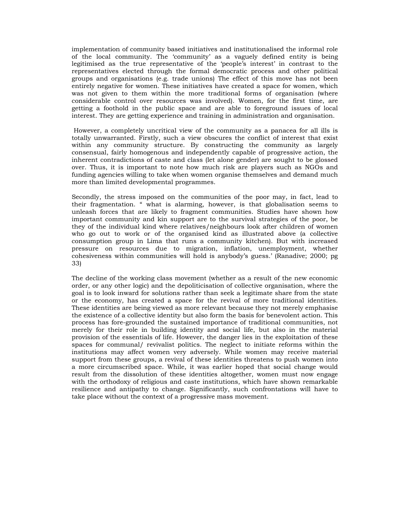implementation of community based initiatives and institutionalised the informal role of the local community. The 'community' as a vaguely defined entity is being legitimised as the true representative of the 'people's interest' in contrast to the representatives elected through the formal democratic process and other political groups and organisations (e.g. trade unions) The effect of this move has not been entirely negative for women. These initiatives have created a space for women, which was not given to them within the more traditional forms of organisation (where considerable control over resources was involved). Women, for the first time, are getting a foothold in the public space and are able to foreground issues of local interest. They are getting experience and training in administration and organisation.

 However, a completely uncritical view of the community as a panacea for all ills is totally unwarranted. Firstly, such a view obscures the conflict of interest that exist within any community structure. By constructing the community as largely consensual, fairly homogenous and independently capable of progressive action, the inherent contradictions of caste and class (let alone gender) are sought to be glossed over. Thus, it is important to note how much risk are players such as NGOs and funding agencies willing to take when women organise themselves and demand much more than limited developmental programmes.

Secondly, the stress imposed on the communities of the poor may, in fact, lead to their fragmentation. " what is alarming, however, is that globalisation seems to unleash forces that are likely to fragment communities. Studies have shown how important community and kin support are to the survival strategies of the poor, be they of the individual kind where relatives/neighbours look after children of women who go out to work or of the organised kind as illustrated above (a collective consumption group in Lima that runs a community kitchen). But with increased pressure on resources due to migration, inflation, unemployment, whether cohesiveness within communities will hold is anybody's guess.' (Ranadive; 2000; pg 33)

The decline of the working class movement (whether as a result of the new economic order, or any other logic) and the depoliticisation of collective organisation, where the goal is to look inward for solutions rather than seek a legitimate share from the state or the economy, has created a space for the revival of more traditional identities. These identities are being viewed as more relevant because they not merely emphasise the existence of a collective identity but also form the basis for benevolent action. This process has fore-grounded the sustained importance of traditional communities, not merely for their role in building identity and social life, but also in the material provision of the essentials of life. However, the danger lies in the exploitation of these spaces for communal/ revivalist politics. The neglect to initiate reforms within the institutions may affect women very adversely. While women may receive material support from these groups, a revival of these identities threatens to push women into a more circumscribed space. While, it was earlier hoped that social change would result from the dissolution of these identities altogether, women must now engage with the orthodoxy of religious and caste institutions, which have shown remarkable resilience and antipathy to change. Significantly, such confrontations will have to take place without the context of a progressive mass movement.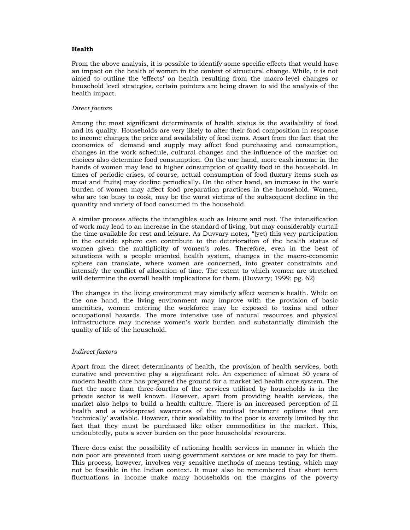# **Health**

From the above analysis, it is possible to identify some specific effects that would have an impact on the health of women in the context of structural change. While, it is not aimed to outline the 'effects' on health resulting from the macro-level changes or household level strategies, certain pointers are being drawn to aid the analysis of the health impact.

# *Direct factors*

Among the most significant determinants of health status is the availability of food and its quality. Households are very likely to alter their food composition in response to income changes the price and availability of food items. Apart from the fact that the economics of demand and supply may affect food purchasing and consumption, changes in the work schedule, cultural changes and the influence of the market on choices also determine food consumption. On the one hand, more cash income in the hands of women may lead to higher consumption of quality food in the household. In times of periodic crises, of course, actual consumption of food (luxury items such as meat and fruits) may decline periodically. On the other hand, an increase in the work burden of women may affect food preparation practices in the household. Women, who are too busy to cook, may be the worst victims of the subsequent decline in the quantity and variety of food consumed in the household.

A similar process affects the intangibles such as leisure and rest. The intensification of work may lead to an increase in the standard of living, but may considerably curtail the time available for rest and leisure. As Duvvary notes, "(yet) this very participation in the outside sphere can contribute to the deterioration of the health status of women given the multiplicity of women's roles. Therefore, even in the best of situations with a people oriented health system, changes in the macro-economic sphere can translate, where women are concerned, into greater constraints and intensify the conflict of allocation of time. The extent to which women are stretched will determine the overall health implications for them. (Duvvary; 1999; pg. 62)

The changes in the living environment may similarly affect women's health. While on the one hand, the living environment may improve with the provision of basic amenities, women entering the workforce may be exposed to toxins and other occupational hazards. The more intensive use of natural resources and physical infrastructure may increase women's work burden and substantially diminish the quality of life of the household.

# *Indirect factors*

Apart from the direct determinants of health, the provision of health services, both curative and preventive play a significant role. An experience of almost 50 years of modern health care has prepared the ground for a market led health care system. The fact the more than three-fourths of the services utilised by households is in the private sector is well known. However, apart from providing health services, the market also helps to build a health culture. There is an increased perception of ill health and a widespread awareness of the medical treatment options that are 'technically' available. However, their availability to the poor is severely limited by the fact that they must be purchased like other commodities in the market. This, undoubtedly, puts a sever burden on the poor households' resources.

There does exist the possibility of rationing health services in manner in which the non poor are prevented from using government services or are made to pay for them. This process, however, involves very sensitive methods of means testing, which may not be feasible in the Indian context. It must also be remembered that short term fluctuations in income make many households on the margins of the poverty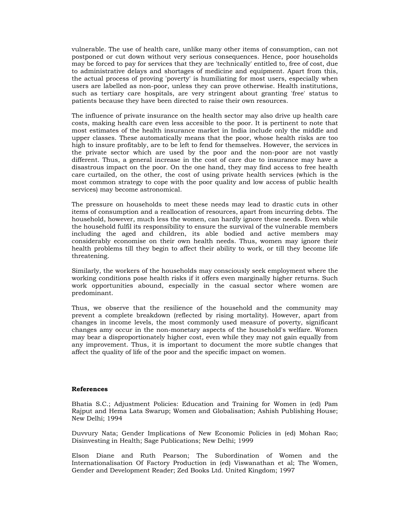vulnerable. The use of health care, unlike many other items of consumption, can not postponed or cut down without very serious consequences. Hence, poor households may be forced to pay for services that they are 'technically' entitled to, free of cost, due to administrative delays and shortages of medicine and equipment. Apart from this, the actual process of proving 'poverty' is humiliating for most users, especially when users are labelled as non-poor, unless they can prove otherwise. Health institutions, such as tertiary care hospitals, are very stringent about granting 'free' status to patients because they have been directed to raise their own resources.

The influence of private insurance on the health sector may also drive up health care costs, making health care even less accesible to the poor. It is pertinent to note that most estimates of the health insurance market in India include only the middle and upper classes. These automatically means that the poor, whose health risks are too high to insure profitably, are to be left to fend for themselves. However, the services in the private sector which are used by the poor and the non-poor are not vastly different. Thus, a general increase in the cost of care due to insurance may have a disastrous impact on the poor. On the one hand, they may find access to free health care curtailed, on the other, the cost of using private health services (which is the most common strategy to cope with the poor quality and low access of public health services) may become astronomical.

The pressure on households to meet these needs may lead to drastic cuts in other items of consumption and a reallocation of resources, apart from incurring debts. The household, however, much less the women, can hardly ignore these needs. Even while the household fulfil its responsibility to ensure the survival of the vulnerable members including the aged and children, its able bodied and active members may considerably economise on their own health needs. Thus, women may ignore their health problems till they begin to affect their ability to work, or till they become life threatening.

Similarly, the workers of the households may consciously seek employment where the working conditions pose health risks if it offers even marginally higher returns. Such work opportunities abound, especially in the casual sector where women are predominant.

Thus, we observe that the resilience of the household and the community may prevent a complete breakdown (reflected by rising mortality). However, apart from changes in income levels, the most commonly used measure of poverty, significant changes amy occur in the non-monetary aspects of the household's welfare. Women may bear a disproportionately higher cost, even while they may not gain equally from any improvement. Thus, it is important to document the more subtle changes that affect the quality of life of the poor and the specific impact on women.

#### **References**

Bhatia S.C.; Adjustment Policies: Education and Training for Women in (ed) Pam Rajput and Hema Lata Swarup; Women and Globalisation; Ashish Publishing House; New Delhi; 1994

Duvvury Nata; Gender Implications of New Economic Policies in (ed) Mohan Rao; Disinvesting in Health; Sage Publications; New Delhi; 1999

Elson Diane and Ruth Pearson; The Subordination of Women and the Internationalisation Of Factory Production in (ed) Viswanathan et al; The Women, Gender and Development Reader; Zed Books Ltd. United Kingdom; 1997